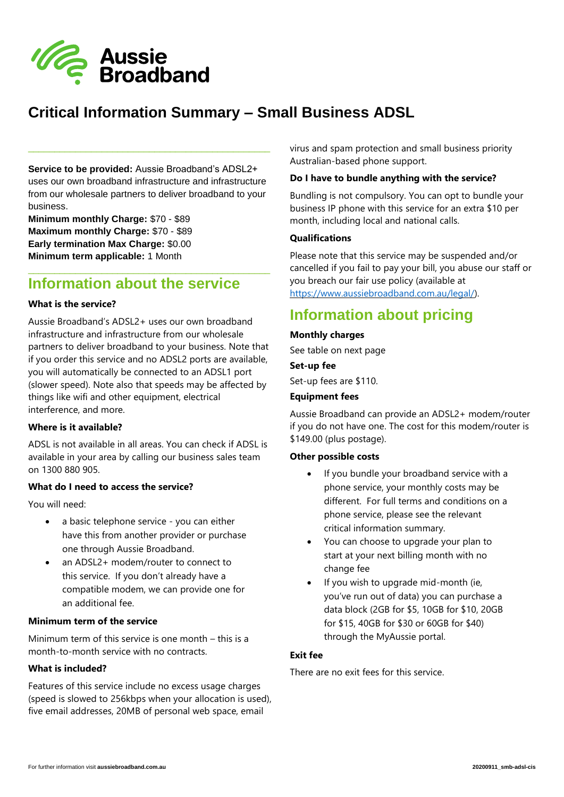

# **Critical Information Summary – Small Business ADSL**

**Service to be provided:** Aussie Broadband's ADSL2+ uses our own broadband infrastructure and infrastructure from our wholesale partners to deliver broadband to your business.

\_\_\_\_\_\_\_\_\_\_\_\_\_\_\_\_\_\_\_\_\_\_\_\_\_\_\_\_\_\_\_\_\_\_\_\_\_\_\_\_\_\_\_\_\_\_

**Minimum monthly Charge:** \$70 - \$89 **Maximum monthly Charge:** \$70 - \$89 **Early termination Max Charge:** \$0.00 **Minimum term applicable:** 1 Month

## **Information about the service**

\_\_\_\_\_\_\_\_\_\_\_\_\_\_\_\_\_\_\_\_\_\_\_\_\_\_\_\_\_\_\_\_\_\_\_\_\_\_\_\_\_\_\_\_\_\_

#### **What is the service?**

Aussie Broadband's ADSL2+ uses our own broadband infrastructure and infrastructure from our wholesale partners to deliver broadband to your business. Note that if you order this service and no ADSL2 ports are available, you will automatically be connected to an ADSL1 port (slower speed). Note also that speeds may be affected by things like wifi and other equipment, electrical interference, and more.

#### **Where is it available?**

ADSL is not available in all areas. You can check if ADSL is available in your area by calling our business sales team on 1300 880 905.

#### **What do I need to access the service?**

You will need:

- a basic telephone service you can either have this from another provider or purchase one through Aussie Broadband.
- an ADSL2+ modem/router to connect to this service. If you don't already have a compatible modem, we can provide one for an additional fee.

## **Minimum term of the service**

Minimum term of this service is one month – this is a month-to-month service with no contracts.

## **What is included?**

Features of this service include no excess usage charges (speed is slowed to 256kbps when your allocation is used), five email addresses, 20MB of personal web space, email

virus and spam protection and small business priority Australian-based phone support.

#### **Do I have to bundle anything with the service?**

Bundling is not compulsory. You can opt to bundle your business IP phone with this service for an extra \$10 per month, including local and national calls.

## **Qualifications**

Please note that this service may be suspended and/or cancelled if you fail to pay your bill, you abuse our staff or you breach our fair use policy (available at [https://www.aussiebroadband.com.au/legal/\)](https://www.aussiebroadband.com.au/legal/).

# **Information about pricing**

#### **Monthly charges**

See table on next page

### **Set-up fee**

Set-up fees are \$110.

#### **Equipment fees**

Aussie Broadband can provide an ADSL2+ modem/router if you do not have one. The cost for this modem/router is \$149.00 (plus postage).

#### **Other possible costs**

- If you bundle your broadband service with a phone service, your monthly costs may be different. For full terms and conditions on a phone service, please see the relevant critical information summary.
- You can choose to upgrade your plan to start at your next billing month with no change fee
- If you wish to upgrade mid-month (ie, you've run out of data) you can purchase a data block (2GB for \$5, 10GB for \$10, 20GB for \$15, 40GB for \$30 or 60GB for \$40) through the MyAussie portal.

## **Exit fee**

There are no exit fees for this service.